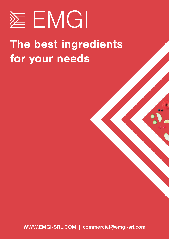

## The best ingredients for your needs

WWW.EMGI-SRL.COM | commercial@emgi-srl.com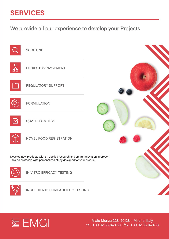### **SERVICES**

We provide all our experience to develop your Projects



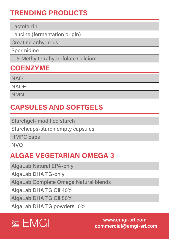#### TRENDING PRODUCTS

#### Lactoferrin

Leucine (fermentation origin)

Creatine anhydrous

Spermidine

L-5-Methyltetrahydrofolate Calcium

#### **COENZYME**

**NAD** 

**NADH** 

NMN

#### CAPSULES AND SOFTGELS

Starchgel- modified starch

Starchcaps-starch empty capsules

HMPC caps

NVQ

#### ALGAE VEGETARIAN OMEGA 3

AlgaLab Natural EPA-only

AlgaLab DHA TG-only

AlgaLab Complete Omega Natural blends

AlgaLab DHA TG Oil 40%

AlgaLab DHA TG Oil 50%

AlgaLab DHA TG powders 10%

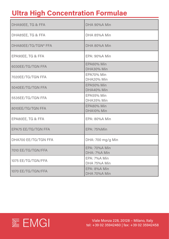#### Ultra High Concentration Formulae

| DHA90EE, TG & FFA          | DHA 90%A Min                         |
|----------------------------|--------------------------------------|
| DHA85EE, TG & FFA          | DHA 85%A Min                         |
| DHA80EE/TG/TGN* FFA        | DHA 80%A Min                         |
| EPA90EE, TG & FFA          | EPA: 90%A Min                        |
| 6030EE/TG/TGN FFA          | EPA60% Min<br>DHA30% Min             |
| 7020EE/TG/TGN FFA          | EPA70% Min<br>DHA20% Min             |
| 5040EE/TG/TGN FFA          | EPA50% Min<br>DHA40% Min             |
| 5535EE/TG/TGN FFA          | EPA55% Min<br>DHA35% Min             |
| 8010EE/TG/TGN FFA          | EPA80% Min<br>DHA10% Min             |
| EPA80EE, TG & FFA          | EPA: 80%A Min                        |
| <b>EPA75 EE/TG/TGN FFA</b> | <b>EPA: 75%Min</b>                   |
| DHA700 EE/TG/TGN FFA       | DHA: 700 mg/g Min                    |
| 7010 EE/TG/TGN/FFA         | <b>EPA: 70%A Min</b><br>DHA: 7%A Min |
| 1075 EE/TG/TGN/FFA         | EPA: 7%A Min<br>DHA 75%A Min         |
| 1070 EE/TG/TGN/FFA         | EPA: 8%A Min<br>DHA 70%A Min         |

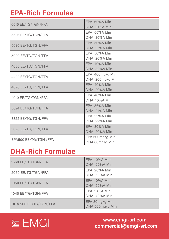#### EPA-Rich Formulae

| 6015 EE/TG/TGN/FFA     | EPA: 60%A Min        |
|------------------------|----------------------|
|                        | <b>DHA: 10%A Min</b> |
| 5525 EE/TG/TGN/FFA     | EPA: 55%A Min        |
|                        | <b>DHA: 25%A Min</b> |
| 5025 EE/TG/TGN/FFA     | EPA: 50%A Min        |
|                        | <b>DHA: 25%A Min</b> |
|                        | EPA: 50%A Min        |
| 5020 EE/TG/TGN/FFA     | <b>DHA: 20%A Min</b> |
|                        | <b>EPA: 40%A Min</b> |
| 4030 EE/TG/TGN/FFA     | DHA: 30%A Min        |
| 4422 EE/TG/TGN/FFA     | EPA: 400mg/g Min     |
|                        | DHA: 200mg/g Min     |
|                        | <b>EPA: 40%A Min</b> |
| 4020 EE/TG/TGN/FFA     | DHA: 20%A Min        |
| 4010 EE/TG/TGN/FFA     | EPA: 40%A Min        |
|                        | DHA: 10%A Min        |
|                        | EPA: 36%A Min        |
| 3624 EE/TG/TGN/FFA     | <b>DHA: 24%A Min</b> |
| 3322 EE/TG/TGN/FFA     | EPA: 33%A Min        |
|                        | <b>DHA: 22%A Min</b> |
| 3020 EE/TG/TGN/FFA     | EPA: 30%A Min        |
|                        | <b>DHA: 20%A Min</b> |
| EPA500 EE/TG/TGN / FFA | EPA 500mg/g Min      |
|                        | DHA 80mg/g Min       |

#### DHA-Rich Formulae

| 1560 EE/TG/TGN/FFA    | <b>EPA: 10%A Min</b><br>DHA: 60%A Min        |
|-----------------------|----------------------------------------------|
| 2050 EE/TG/TGN/FFA    | <b>EPA: 20%A Min</b><br><b>DHA: 50%A Min</b> |
| 1050 EE/TG/TGN/FFA    | <b>EPA: 10%A Min</b><br><b>DHA: 50%A Min</b> |
| 1040 EE/TG/TGN/FFA    | <b>EPA: 10%A Min</b><br>DHA: 40%A Min        |
| DHA 500 EE/TG/TGN/FFA | EPA 80mg/g Min<br>DHA 500mg/g Min            |

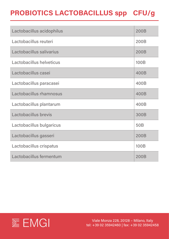### PROBIOTICS LACTOBACILLUS spp CFU/g

| Lactobacillus acidophilus | <b>200B</b>     |
|---------------------------|-----------------|
| Lactobacillus reuteri     | <b>200B</b>     |
| Lactobacillus salivarius  | <b>200B</b>     |
| Lactobacillus helveticus  | 100B            |
| Lactobacillus casei       | 400B            |
| Lactobacillus paracasei   | 400B            |
| Lactobacillus rhamnosus   | 400B            |
| Lactobacillus plantarum   | 400B            |
| Lactobacillus brevis      | 300B            |
| Lactobacillus bulgaricus  | 50 <sub>B</sub> |
| Lactobacillus gasseri     | <b>200B</b>     |
| Lactobacillus crispatus   | 100B            |
| Lactobacillus fermentum   | 200B            |

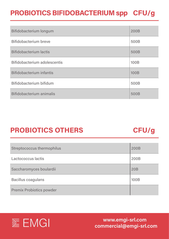### PROBIOTICS BIFIDOBACTERIUM spp CFU/g

| Bifidobacterium longum              | 200B |
|-------------------------------------|------|
| <b>Bifidobacterium breve</b>        | 500B |
| <b>Bifidobacterium lactis</b>       | 500B |
| <b>Bifidobacterium adolescentis</b> | 100B |
| <b>Bifidobacterium infantis</b>     | 100B |
| Bifidobacterium bifidum             | 500B |
| <b>Bifidobacterium animalis</b>     | 500B |

#### PROBIOTICS OTHERS CFU/g

| <b>Streptococcus thermophilus</b> | 200B       |
|-----------------------------------|------------|
| Lactococcus lactis                | 200B       |
| Saccharomyces boulardii           | <b>20B</b> |
| <b>Bacillus coagulans</b>         | 100B       |
| <b>Premix Probiotics powder</b>   |            |

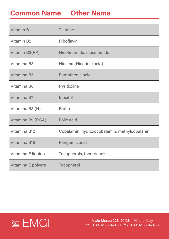#### Common Name Other Name

| <b>Vitamin B1</b>   | <b>Tiamine</b>                               |
|---------------------|----------------------------------------------|
| <b>Vitamin B2</b>   | Riboflavin                                   |
| Vitamin B3(PP)      | Nicotinamide, niacinamide                    |
| <b>Vitamina B3</b>  | Niacina (Nicotinic acid)                     |
| <b>Vitamina B5</b>  | <b>Pantothenic acid</b>                      |
| Vitamina B6         | Pyridoxine                                   |
| Vitamina B7         | Inositol                                     |
| Vitamina B8 (H)     | <b>Biotin</b>                                |
| Vitamina B9 (PGA)   | <b>Folic acid</b>                            |
| <b>Vitamina B12</b> | Cobalamin, hydroxocobalamin, methylcobalanin |
| Vitamina B15        | Pangamic acid                                |
| Vitamina E liquido  | <b>Tocopherols, tocotrienols</b>             |
| Vitamina E polvere  | <b>Tocopherol</b>                            |

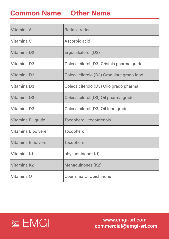#### Common Name Other Name

| Vitamina A              | <b>Retinol, retinal</b>                   |
|-------------------------|-------------------------------------------|
| Vitamina C              | Ascorbic acid                             |
| Vitamina D <sub>2</sub> | Ergocalciferol (D2)                       |
| <b>Vitamina D3</b>      | Colecalciferol (D3) Cristals pharma grade |
| <b>Vitamina D3</b>      | Colecalciferolo (D3) Granulare grado food |
| Vitamina D3             | Colecalciferolo (D3) Olio grado pharma    |
| <b>Vitamina D3</b>      | Colecalciferol (D3) Oil pharma grade      |
| Vitamina D3             | Colecalciferol (D3) Oil food grade        |
| Vitamina E liquido      | Tocopheroli, tocotrienols                 |
| Vitamina E polvere      | <b>Tocopherol</b>                         |
| Vitamina E polvere      | <b>Tocopherol</b>                         |
| Vitamina K1             | phylloquinone (K1)                        |
| Vitamina K2             | <b>Menaquinones (K2)</b>                  |
| Vitamina Q              | Coenzima Q, Ubichinone                    |

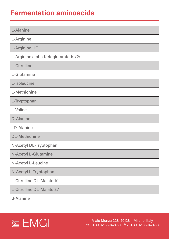#### Fermentation aminoacids

| <b>L-Alanine</b>                       |
|----------------------------------------|
| L-Arginine                             |
|                                        |
| <b>L-Arginine HCL</b>                  |
| L-Arginine alpha Ketoglutarate 1:1/2:1 |
| <b>L-Citrulline</b>                    |
| L-Glutamine                            |
| L-isoleucine                           |
| L-Methionine                           |
| L-Tryptophan                           |
| L-Valine                               |
| <b>D-Alanine</b>                       |
| <b>LD-Alanine</b>                      |
| <b>DL-Methionine</b>                   |
| N-Acetyl DL-Tryptophan                 |
| <b>N-Acetyl L-Glutamine</b>            |
| N-Acetyl L-Leucine                     |
| N-Acetyl L-Tryptophan                  |
| L-Citrulline DL-Malate 1:1             |

L-Citrulline DL-Malate 2:1

**β**-Alanine

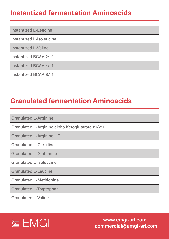#### Instantized fermentation Aminoacids

Instantized L-Leucine

Instantized L-Isoleucine

Instantized L-Valine

Instantized BCAA 2:1:1

Instantized BCAA 4:1:1

Instantized BCAA 8:1:1

#### Granulated fermentation Aminoacids

Granulated L-Arginine

Granulated L-Arginine alpha Ketoglutarate 1:1/2:1

Granulated L-Arginine HCL

Granulated L-Citrulline

Granulated L-Glutamine

Granulated L-Isoleucine

Granulated L-Leucine

Granulated L-Methionine

Granulated L-Tryptophan

Granulated L-Valine

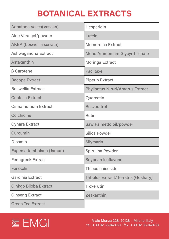## BOTANICAL EXTRACTS

| Adhatoda Vasca(Vasaka)    | Hesperidin                              |
|---------------------------|-----------------------------------------|
| Aloe Vera gel/powder      | Lutein                                  |
| AKBA (boswellia serrata)  | <b>Momordica Extract</b>                |
| Ashwagandha Extract       | <b>Mono Ammonium Glycyrrhizinate</b>    |
| Astaxanthin               | <b>Moringa Extract</b>                  |
| $\beta$ Carotene          | <b>Paclitaxel</b>                       |
| Bacopa Extract            | <b>Piperin Extract</b>                  |
| <b>Boswellia Extract</b>  | <b>Phyllantus Niruri/Amarus Extract</b> |
| <b>Centella Extract</b>   | Quercetin                               |
| <b>Cinnamomum Extract</b> | <b>Resveratrol</b>                      |
| Colchicine                | <b>Rutin</b>                            |
| <b>Cynara Extract</b>     | Saw Palmetto oil/powder                 |
| Curcumin                  | <b>Silica Powder</b>                    |
| <b>Diosmin</b>            | Silymarin                               |
| Eugenia Jambolana (Jamun) | Spirulina Powder                        |
| <b>Fenugreek Extract</b>  | Soybean Isoflavone                      |
| Forskolin                 | <b>Thiocolchicoside</b>                 |
| Garcinia Extract          | Tribulus Extract/ terrstris (Gokhary)   |
| Ginkgo Biloba Extract     | <b>Troxerutin</b>                       |
| <b>Ginseng Extract</b>    | Zeaxanthin                              |
| <b>Green Tea Extract</b>  |                                         |

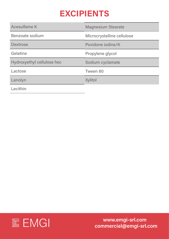### EXCIPIENTS

| <b>Acesulfame K</b>        | <b>Magnesium Stearate</b>  |
|----------------------------|----------------------------|
| Benzoate sodium            | Microcrystalline cellulose |
| <b>Dextrose</b>            | Povidone iodine/K          |
| Gelatine                   | Propylene glycol           |
| Hydroxyethyl cellulose hec | Sodium cyclamate           |
| Lactose                    | Tween 80                   |
| Lanolyn                    | <b>Xylitol</b>             |
| Lecithin                   |                            |